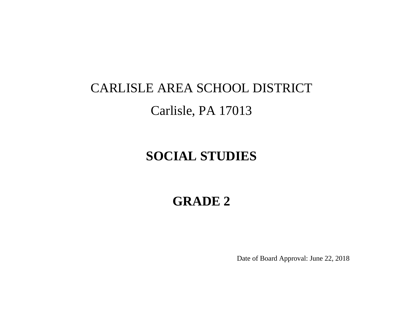# CARLISLE AREA SCHOOL DISTRICT Carlisle, PA 17013

# **SOCIAL STUDIES**

# **GRADE 2**

Date of Board Approval: June 22, 2018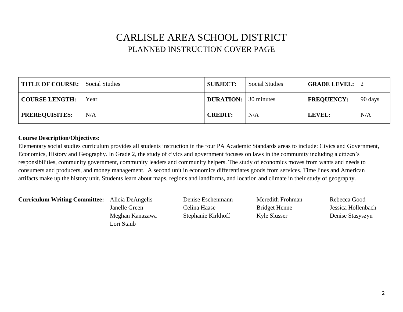### CARLISLE AREA SCHOOL DISTRICT PLANNED INSTRUCTION COVER PAGE

| TITLE OF COURSE: Social Studies |      | <b>SUBJECT:</b>             | <b>Social Studies</b> | <b>GRADE LEVEL:</b> 2 |         |
|---------------------------------|------|-----------------------------|-----------------------|-----------------------|---------|
| <b>COURSE LENGTH:</b>           | Year | <b>DURATION:</b> 30 minutes |                       | <b>FREQUENCY:</b>     | 90 days |
| <b>PREREQUISITES:</b>           | N/A  | <b>CREDIT:</b>              | N/A                   | LEVEL:                | N/A     |

#### **Course Description/Objectives:**

Elementary social studies curriculum provides all students instruction in the four PA Academic Standards areas to include: Civics and Government, Economics, History and Geography. In Grade 2, the study of civics and government focuses on laws in the community including a citizen's responsibilities, community government, community leaders and community helpers. The study of economics moves from wants and needs to consumers and producers, and money management. A second unit in economics differentiates goods from services. Time lines and American artifacts make up the history unit. Students learn about maps, regions and landforms, and location and climate in their study of geography.

**Curriculum Writing Committee:** Alicia DeAngelis Denise Eschenmann Meredith Frohman Rebecca Good

Meghan Kanazawa Stephanie Kirkhoff Kyle Slusser Denise Stasyszyn Lori Staub

Janelle Green Celina Haase Bridget Henne Jessica Hollenbach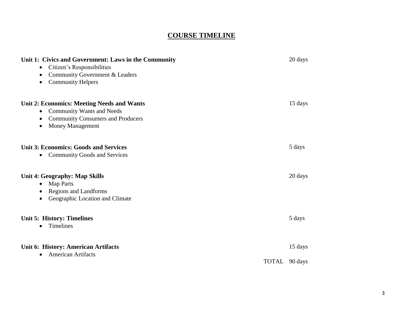### **COURSE TIMELINE**

| Unit 1: Civics and Government: Laws in the Community<br>Citizen's Responsibilities<br>$\bullet$<br>Community Government & Leaders<br>$\bullet$<br><b>Community Helpers</b><br>$\bullet$      | 20 days       |
|----------------------------------------------------------------------------------------------------------------------------------------------------------------------------------------------|---------------|
| <b>Unit 2: Economics: Meeting Needs and Wants</b><br><b>Community Wants and Needs</b><br>$\bullet$<br><b>Community Consumers and Producers</b><br>$\bullet$<br>Money Management<br>$\bullet$ | 15 days       |
| <b>Unit 3: Economics: Goods and Services</b><br><b>Community Goods and Services</b><br>$\bullet$                                                                                             | 5 days        |
| Unit 4: Geography: Map Skills<br><b>Map Parts</b><br>$\bullet$<br><b>Regions and Landforms</b><br>$\bullet$<br>Geographic Location and Climate<br>٠                                          | 20 days       |
| <b>Unit 5: History: Timelines</b><br>Timelines<br>$\bullet$                                                                                                                                  | 5 days        |
| <b>Unit 6: History: American Artifacts</b><br><b>American Artifacts</b><br>$\bullet$                                                                                                         | 15 days       |
|                                                                                                                                                                                              | TOTAL 90 days |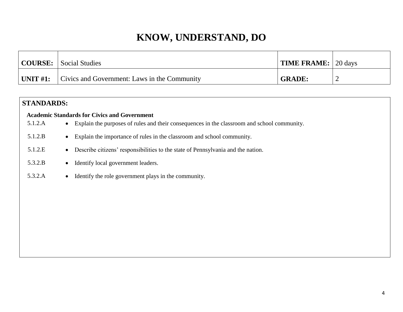| COURSE: Social Studies                                        | <b>TIME FRAME:</b> 20 days |  |
|---------------------------------------------------------------|----------------------------|--|
| $ $ UNIT #1: $ $ Civics and Government: Laws in the Community | <b>GRADE:</b>              |  |

### **STANDARDS:**

### **Academic Standards for Civics and Government**

- 5.1.2.A Explain the purposes of rules and their consequences in the classroom and school community.
- 5.1.2.B Explain the importance of rules in the classroom and school community.
- 5.1.2.E Describe citizens' responsibilities to the state of Pennsylvania and the nation.
- 5.3.2.B Identify local government leaders.
- 5.3.2.A 
<br> **IDENTIFY THE READER IS EXAMPLE POSTAL ASSESS** In the community.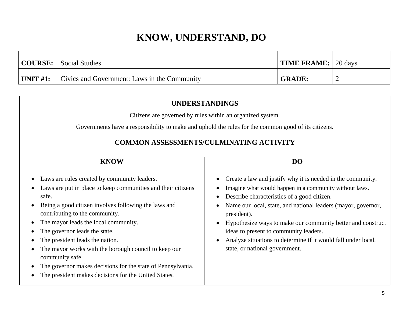|                 | <b>COURSE:</b> Social Studies                | <b>TIME FRAME:</b> 20 days |  |
|-----------------|----------------------------------------------|----------------------------|--|
| $\mid$ UNIT #1: | Civics and Government: Laws in the Community | <b>GRADE:</b>              |  |

| <b>UNDERSTANDINGS</b>                                                                                                                                                                                                                                                                                                                                                                                                                                                                                                                                                |                                                                                                                                                                                                                                                                                                                                                                                                                                                                  |  |  |  |  |
|----------------------------------------------------------------------------------------------------------------------------------------------------------------------------------------------------------------------------------------------------------------------------------------------------------------------------------------------------------------------------------------------------------------------------------------------------------------------------------------------------------------------------------------------------------------------|------------------------------------------------------------------------------------------------------------------------------------------------------------------------------------------------------------------------------------------------------------------------------------------------------------------------------------------------------------------------------------------------------------------------------------------------------------------|--|--|--|--|
|                                                                                                                                                                                                                                                                                                                                                                                                                                                                                                                                                                      | Citizens are governed by rules within an organized system.                                                                                                                                                                                                                                                                                                                                                                                                       |  |  |  |  |
|                                                                                                                                                                                                                                                                                                                                                                                                                                                                                                                                                                      | Governments have a responsibility to make and uphold the rules for the common good of its citizens.                                                                                                                                                                                                                                                                                                                                                              |  |  |  |  |
| <b>COMMON ASSESSMENTS/CULMINATING ACTIVITY</b>                                                                                                                                                                                                                                                                                                                                                                                                                                                                                                                       |                                                                                                                                                                                                                                                                                                                                                                                                                                                                  |  |  |  |  |
| <b>KNOW</b><br>D <sub>O</sub>                                                                                                                                                                                                                                                                                                                                                                                                                                                                                                                                        |                                                                                                                                                                                                                                                                                                                                                                                                                                                                  |  |  |  |  |
| Laws are rules created by community leaders.<br>Laws are put in place to keep communities and their citizens<br>safe.<br>Being a good citizen involves following the laws and<br>$\bullet$<br>contributing to the community.<br>The mayor leads the local community.<br>$\bullet$<br>The governor leads the state.<br>The president leads the nation.<br>The mayor works with the borough council to keep our<br>community safe.<br>The governor makes decisions for the state of Pennsylvania.<br>$\bullet$<br>The president makes decisions for the United States. | Create a law and justify why it is needed in the community.<br>Imagine what would happen in a community without laws.<br>Describe characteristics of a good citizen.<br>Name our local, state, and national leaders (mayor, governor,<br>president).<br>Hypothesize ways to make our community better and construct<br>ideas to present to community leaders.<br>Analyze situations to determine if it would fall under local,<br>state, or national government. |  |  |  |  |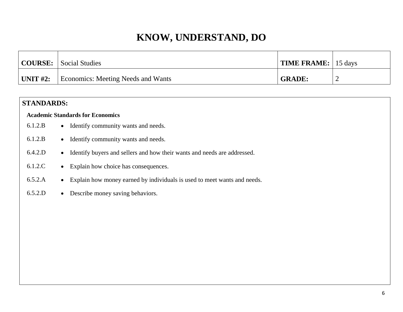|                 | COURSE: Social Studies             | <b>TIME FRAME:</b> 15 days |   |
|-----------------|------------------------------------|----------------------------|---|
| $\mid$ UNIT #2: | Economics: Meeting Needs and Wants | <b>GRADE:</b>              | ∽ |

### **STANDARDS:**

### **Academic Standards for Economics**

- 6.1.2.B Identify community wants and needs.
- 6.1.2.B Identify community wants and needs.
- 6.4.2.D Identify buyers and sellers and how their wants and needs are addressed.
- 6.1.2.C Explain how choice has consequences.
- 6.5.2.A Explain how money earned by individuals is used to meet wants and needs.
- 6.5.2.D Describe money saving behaviors.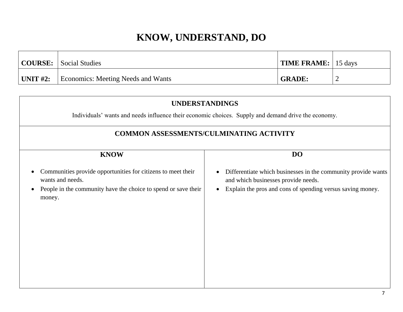|                  | <b>COURSE:</b> Social Studies      | <b>TIME FRAME:</b> 15 days |  |
|------------------|------------------------------------|----------------------------|--|
| $\vert$ UNIT #2: | Economics: Meeting Needs and Wants | <b>GRADE:</b>              |  |

| <b>UNDERSTANDINGS</b>                                                                                                                                                     |                                                                                                                                                                                              |  |  |  |
|---------------------------------------------------------------------------------------------------------------------------------------------------------------------------|----------------------------------------------------------------------------------------------------------------------------------------------------------------------------------------------|--|--|--|
|                                                                                                                                                                           | Individuals' wants and needs influence their economic choices. Supply and demand drive the economy.                                                                                          |  |  |  |
|                                                                                                                                                                           | <b>COMMON ASSESSMENTS/CULMINATING ACTIVITY</b>                                                                                                                                               |  |  |  |
| <b>DO</b><br><b>KNOW</b>                                                                                                                                                  |                                                                                                                                                                                              |  |  |  |
| Communities provide opportunities for citizens to meet their<br>wants and needs.<br>People in the community have the choice to spend or save their<br>$\bullet$<br>money. | Differentiate which businesses in the community provide wants<br>$\bullet$<br>and which businesses provide needs.<br>Explain the pros and cons of spending versus saving money.<br>$\bullet$ |  |  |  |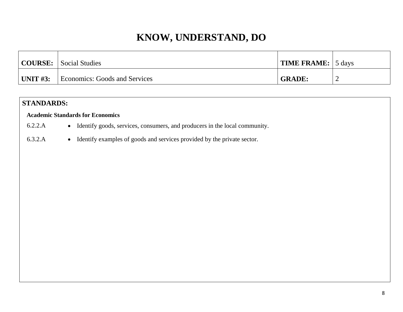|            | <b>COURSE:</b> Social Studies | $\vert$ TIME FRAME: $\vert$ 5 days |   |
|------------|-------------------------------|------------------------------------|---|
| UNIT $#3:$ | Economics: Goods and Services | <b>GRADE:</b>                      | - |

### **STANDARDS:**

#### **Academic Standards for Economics**

- 6.2.2.A Identify goods, services, consumers, and producers in the local community.
- 6.3.2.A Identify examples of goods and services provided by the private sector.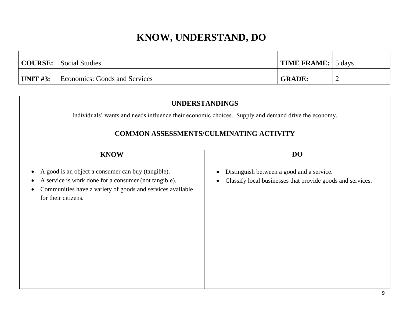|          | <b>COURSE:</b> Social Studies | $\vert$ TIME FRAME: $\vert$ 5 days |  |
|----------|-------------------------------|------------------------------------|--|
| UNIT #3: | Economics: Goods and Services | <b>GRADE:</b>                      |  |

| <b>UNDERSTANDINGS</b>                                                                                                                                                                                                      |                                                                                                         |  |  |  |  |
|----------------------------------------------------------------------------------------------------------------------------------------------------------------------------------------------------------------------------|---------------------------------------------------------------------------------------------------------|--|--|--|--|
|                                                                                                                                                                                                                            | Individuals' wants and needs influence their economic choices. Supply and demand drive the economy.     |  |  |  |  |
| <b>COMMON ASSESSMENTS/CULMINATING ACTIVITY</b>                                                                                                                                                                             |                                                                                                         |  |  |  |  |
| <b>KNOW</b>                                                                                                                                                                                                                | DO                                                                                                      |  |  |  |  |
| A good is an object a consumer can buy (tangible).<br>A service is work done for a consumer (not tangible).<br>$\bullet$<br>Communities have a variety of goods and services available<br>$\bullet$<br>for their citizens. | Distinguish between a good and a service.<br>Classify local businesses that provide goods and services. |  |  |  |  |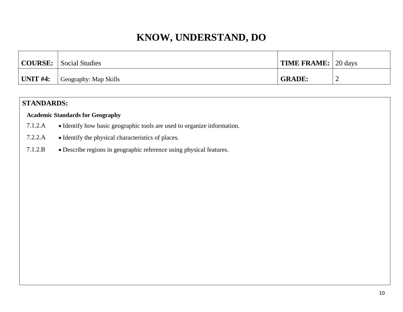| COURSE:  | Social Studies        | TIME FRAME: 20 days |                          |
|----------|-----------------------|---------------------|--------------------------|
| UNIT #4: | Geography: Map Skills | <b>GRADE:</b>       | $\overline{\phantom{a}}$ |

### **STANDARDS:**

### **Academic Standards for Geography**

- 7.1.2.A Identify how basic geographic tools are used to organize information.
- 7.2.2.A Identify the physical characteristics of places.
- 7.1.2.B Describe regions in geographic reference using physical features.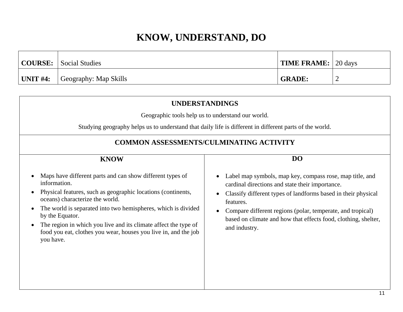| <b>COURSE:</b> Social Studies             | <b>TIME FRAME:</b> 20 days |  |
|-------------------------------------------|----------------------------|--|
| <b>UNIT #4:</b> $ $ Geography: Map Skills | <b>GRADE:</b>              |  |

| <b>UNDERSTANDINGS</b>                                                                                                                                                                                                                                                                                                                                                                                               |                                                                                                                                                                                                                                                                                                                                            |  |  |
|---------------------------------------------------------------------------------------------------------------------------------------------------------------------------------------------------------------------------------------------------------------------------------------------------------------------------------------------------------------------------------------------------------------------|--------------------------------------------------------------------------------------------------------------------------------------------------------------------------------------------------------------------------------------------------------------------------------------------------------------------------------------------|--|--|
| Geographic tools help us to understand our world.                                                                                                                                                                                                                                                                                                                                                                   |                                                                                                                                                                                                                                                                                                                                            |  |  |
|                                                                                                                                                                                                                                                                                                                                                                                                                     | Studying geography helps us to understand that daily life is different in different parts of the world.                                                                                                                                                                                                                                    |  |  |
| <b>COMMON ASSESSMENTS/CULMINATING ACTIVITY</b>                                                                                                                                                                                                                                                                                                                                                                      |                                                                                                                                                                                                                                                                                                                                            |  |  |
| <b>KNOW</b>                                                                                                                                                                                                                                                                                                                                                                                                         | D <sub>O</sub>                                                                                                                                                                                                                                                                                                                             |  |  |
| Maps have different parts and can show different types of<br>information.<br>Physical features, such as geographic locations (continents,<br>oceans) characterize the world.<br>The world is separated into two hemispheres, which is divided<br>by the Equator.<br>The region in which you live and its climate affect the type of<br>food you eat, clothes you wear, houses you live in, and the job<br>you have. | Label map symbols, map key, compass rose, map title, and<br>cardinal directions and state their importance.<br>Classify different types of landforms based in their physical<br>features.<br>Compare different regions (polar, temperate, and tropical)<br>based on climate and how that effects food, clothing, shelter,<br>and industry. |  |  |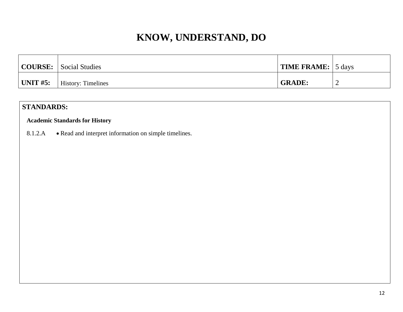|          | <b>COURSE:</b> Social Studies | <b>TIME FRAME:</b> 5 days |   |
|----------|-------------------------------|---------------------------|---|
| UNIT #5: | <b>History: Timelines</b>     | <b>GRADE:</b>             | ∽ |

### **STANDARDS:**

### **Academic Standards for History**

8.1.2.A • Read and interpret information on simple timelines.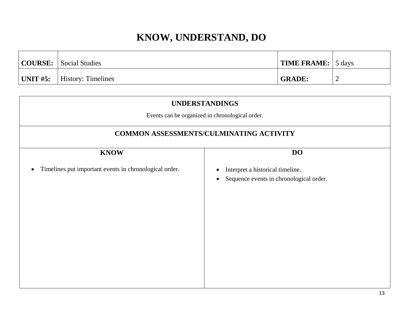|                  | <b>COURSE:</b> Social Studies | <b>TIME FRAME:</b> 5 days |   |
|------------------|-------------------------------|---------------------------|---|
| $\vert$ UNIT #5: | <b>History: Timelines</b>     | <b>GRADE:</b>             | ∼ |

| <b>UNDERSTANDINGS</b><br>Events can be organized in chronological order.<br><b>COMMON ASSESSMENTS/CULMINATING ACTIVITY</b> |                                                                                                       |  |
|----------------------------------------------------------------------------------------------------------------------------|-------------------------------------------------------------------------------------------------------|--|
|                                                                                                                            |                                                                                                       |  |
| Timelines put important events in chronological order.<br>$\bullet$                                                        | Interpret a historical timeline.<br>$\bullet$<br>Sequence events in chronological order.<br>$\bullet$ |  |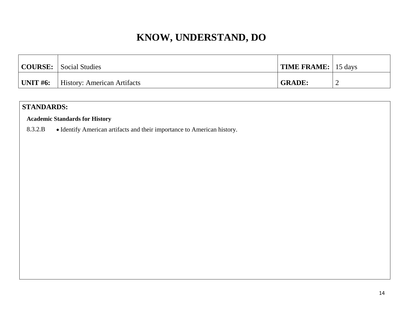|          | <b>COURSE:</b> Social Studies | <b>TIME FRAME:</b> 15 days |   |
|----------|-------------------------------|----------------------------|---|
| UNIT #6: | History: American Artifacts   | <b>GRADE:</b>              | ∽ |

### **STANDARDS:**

### **Academic Standards for History**

8.3.2.B • Identify American artifacts and their importance to American history.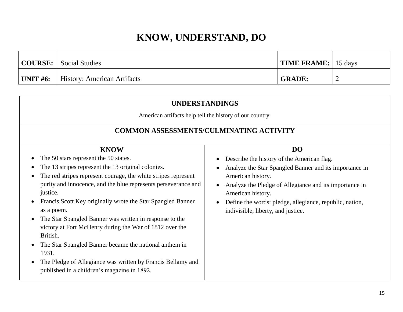|          | <b>COURSE:</b> Social Studies      | <b>TIME FRAME:</b> 15 days |   |
|----------|------------------------------------|----------------------------|---|
| UNIT #6: | <b>History: American Artifacts</b> | <b>GRADE:</b>              | ∽ |

| <b>UNDERSTANDINGS</b>                                                                                                                                                                                                                                                                                                                                                                                                  |                                                                                                                                                                                                                            |  |
|------------------------------------------------------------------------------------------------------------------------------------------------------------------------------------------------------------------------------------------------------------------------------------------------------------------------------------------------------------------------------------------------------------------------|----------------------------------------------------------------------------------------------------------------------------------------------------------------------------------------------------------------------------|--|
| American artifacts help tell the history of our country.                                                                                                                                                                                                                                                                                                                                                               |                                                                                                                                                                                                                            |  |
| <b>COMMON ASSESSMENTS/CULMINATING ACTIVITY</b>                                                                                                                                                                                                                                                                                                                                                                         |                                                                                                                                                                                                                            |  |
| <b>KNOW</b><br>The 50 stars represent the 50 states.<br>The 13 stripes represent the 13 original colonies.<br>The red stripes represent courage, the white stripes represent<br>purity and innocence, and the blue represents perseverance and<br>justice.                                                                                                                                                             | D <sub>O</sub><br>Describe the history of the American flag.<br>Analyze the Star Spangled Banner and its importance in<br>American history.<br>Analyze the Pledge of Allegiance and its importance in<br>American history. |  |
| Francis Scott Key originally wrote the Star Spangled Banner<br>as a poem.<br>The Star Spangled Banner was written in response to the<br>$\bullet$<br>victory at Fort McHenry during the War of 1812 over the<br>British.<br>The Star Spangled Banner became the national anthem in<br>1931.<br>The Pledge of Allegiance was written by Francis Bellamy and<br>$\bullet$<br>published in a children's magazine in 1892. | Define the words: pledge, allegiance, republic, nation,<br>indivisible, liberty, and justice.                                                                                                                              |  |